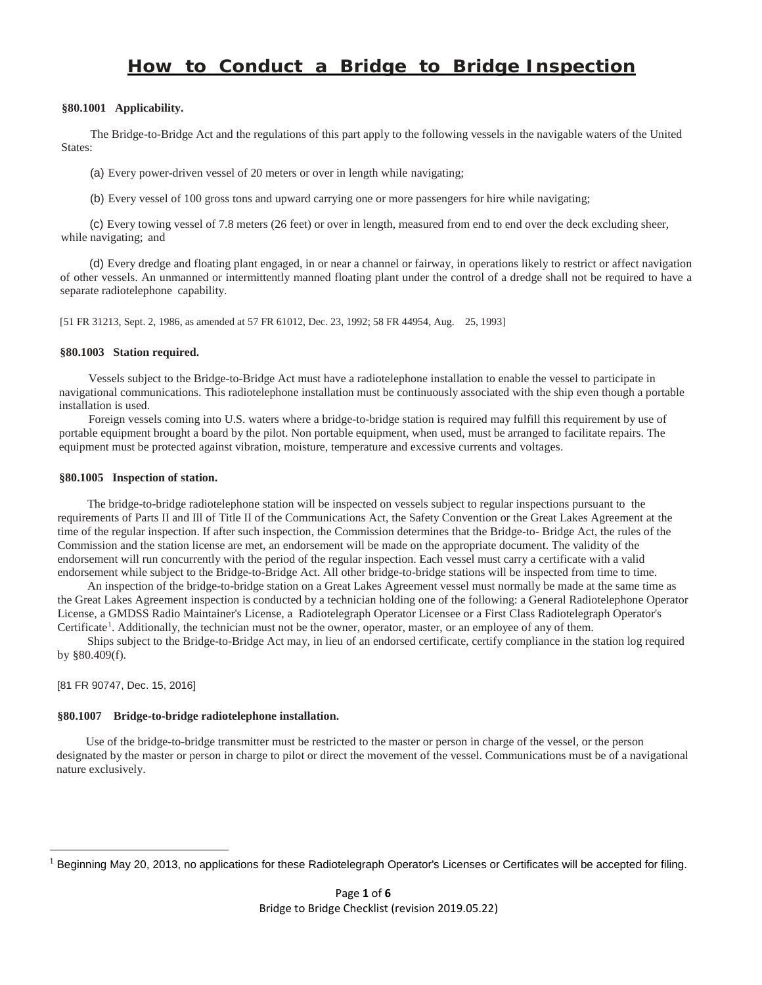# *How to Conduct* **a** *Bridge to Bridge Inspection*

#### **§80.1001 Applicability.**

The Bridge-to-Bridge Act and the regulations of this part apply to the following vessels in the navigable waters of the United States:

(a) Every power-driven vessel of 20 meters or over in length while navigating;

(b) Every vessel of 100 gross tons and upward carrying one or more passengers for hire while navigating;

(c) Every towing vessel of 7.8 meters (26 feet) or over in length, measured from end to end over the deck excluding sheer, while navigating; and

(d) Every dredge and floating plant engaged, in or near a channel or fairway, in operations likely to restrict or affect navigation of other vessels. An unmanned or intermittently manned floating plant under the control of a dredge shall not be required to have a separate radiotelephone capability.

[51 FR 31213, Sept. 2, 1986, as amended at 57 FR 61012, Dec. 23, 1992; 58 FR 44954, Aug. 25, 1993]

#### **§80.1003 Station required.**

Vessels subject to the Bridge-to-Bridge Act must have a radiotelephone installation to enable the vessel to participate in navigational communications. This radiotelephone installation must be continuously associated with the ship even though a portable installation is used.

Foreign vessels coming into U.S. waters where a bridge-to-bridge station is required may fulfill this requirement by use of portable equipment brought a board by the pilot. Non portable equipment, when used, must be arranged to facilitate repairs. The equipment must be protected against vibration, moisture, temperature and excessive currents and voltages.

#### **§80.1005 Inspection of station.**

The bridge-to-bridge radiotelephone station will be inspected on vessels subject to regular inspections pursuant to the requirements of Parts II and Ill of Title II of the Communications Act, the Safety Convention or the Great Lakes Agreement at the time of the regular inspection. If after such inspection, the Commission determines that the Bridge-to- Bridge Act, the rules of the Commission and the station license are met, an endorsement will be made on the appropriate document. The validity of the endorsement will run concurrently with the period of the regular inspection. Each vessel must carry a certificate with a valid endorsement while subject to the Bridge-to-Bridge Act. All other bridge-to-bridge stations will be inspected from time to time.

An inspection of the bridge-to-bridge station on a Great Lakes Agreement vessel must normally be made at the same time as the Great Lakes Agreement inspection is conducted by a technician holding one of the following: a General Radiotelephone Operator License, a GMDSS Radio Maintainer's License, a Radiotelegraph Operator Licensee or a First Class Radiotelegraph Operator's Certificate<sup>[1](#page-0-0)</sup>. Additionally, the technician must not be the owner, operator, master, or an employee of any of them.

Ships subject to the Bridge-to-Bridge Act may, in lieu of an endorsed certificate, certify compliance in the station log required by §80.409(f).

#### [81 FR 90747, Dec. 15, 2016]

#### **§80.1007 Bridge-to-bridge radiotelephone installation.**

Use of the bridge-to-bridge transmitter must be restricted to the master or person in charge of the vessel, or the person designated by the master or person in charge to pilot or direct the movement of the vessel. Communications must be of a navigational nature exclusively.

<span id="page-0-0"></span> $<sup>1</sup>$  Beginning May 20, 2013, no applications for these Radiotelegraph Operator's Licenses or Certificates will be accepted for filing.</sup>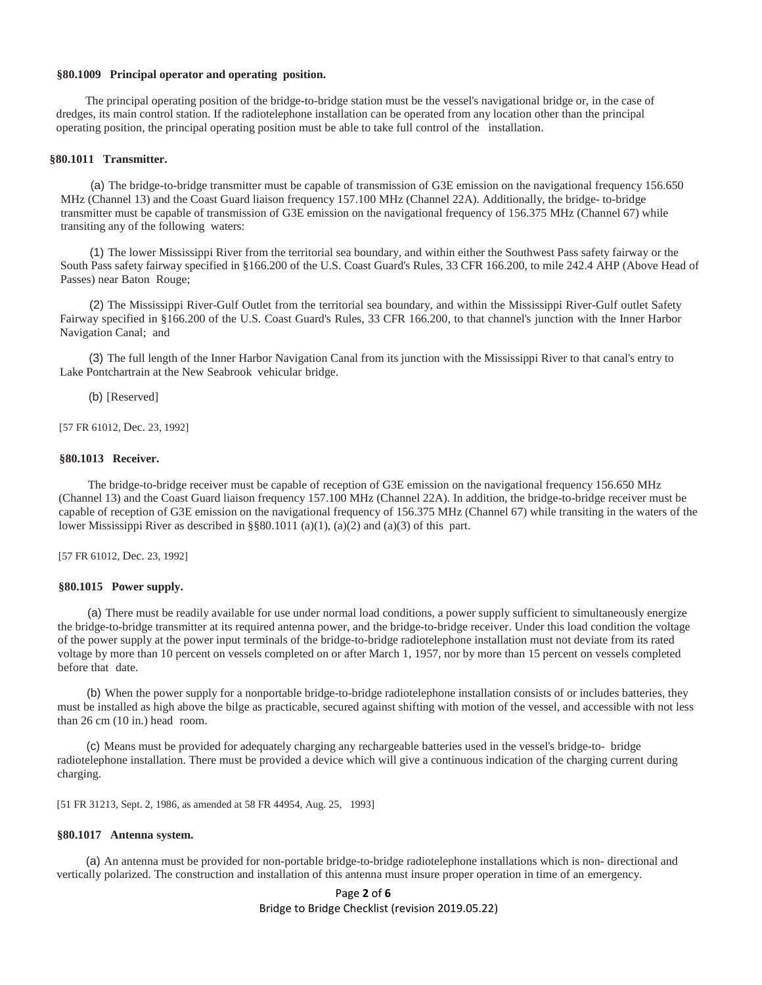#### **§80.1009 Principal operator and operating position.**

The principal operating position of the bridge-to-bridge station must be the vessel's navigational bridge or, in the case of dredges, its main control station. If the radiotelephone installation can be operated from any location other than the principal operating position, the principal operating position must be able to take full control of the installation.

#### **§80.1011 Transmitter.**

(a) The bridge-to-bridge transmitter must be capable of transmission of G3E emission on the navigational frequency 156.650 MHz (Channel 13) and the Coast Guard liaison frequency 157.100 MHz (Channel 22A). Additionally, the bridge- to-bridge transmitter must be capable of transmission of G3E emission on the navigational frequency of 156.375 MHz (Channel 67) while transiting any of the following waters:

(1) The lower Mississippi River from the territorial sea boundary, and within either the Southwest Pass safety fairway or the South Pass safety fairway specified in §166.200 of the U.S. Coast Guard's Rules, 33 CFR 166.200, to mile 242.4 AHP (Above Head of Passes) near Baton Rouge;

(2) The Mississippi River-Gulf Outlet from the territorial sea boundary, and within the Mississippi River-Gulf outlet Safety Fairway specified in §166.200 of the U.S. Coast Guard's Rules, 33 CFR 166.200, to that channel's junction with the Inner Harbor Navigation Canal; and

(3) The full length of the Inner Harbor Navigation Canal from its junction with the Mississippi River to that canal's entry to Lake Pontchartrain at the New Seabrook vehicular bridge.

(b) [Reserved]

[57 FR 61012, Dec. 23, 1992]

#### **§80.1013 Receiver.**

The bridge-to-bridge receiver must be capable of reception of G3E emission on the navigational frequency 156.650 MHz (Channel 13) and the Coast Guard liaison frequency 157.100 MHz (Channel 22A). In addition, the bridge-to-bridge receiver must be capable of reception of G3E emission on the navigational frequency of 156.375 MHz (Channel 67) while transiting in the waters of the lower Mississippi River as described in §§80.1011 (a)(1), (a)(2) and (a)(3) of this part.

[57 FR 61012, Dec. 23, 1992]

#### **§80.1015 Power supply.**

(a) There must be readily available for use under normal load conditions, a power supply sufficient to simultaneously energize the bridge-to-bridge transmitter at its required antenna power, and the bridge-to-bridge receiver. Under this load condition the voltage of the power supply at the power input terminals of the bridge-to-bridge radiotelephone installation must not deviate from its rated voltage by more than 10 percent on vessels completed on or after March 1, 1957, nor by more than 15 percent on vessels completed before that date.

(b) When the power supply for a nonportable bridge-to-bridge radiotelephone installation consists of or includes batteries, they must be installed as high above the bilge as practicable, secured against shifting with motion of the vessel, and accessible with not less than 26 cm (10 in.) head room.

(c) Means must be provided for adequately charging any rechargeable batteries used in the vessel's bridge-to- bridge radiotelephone installation. There must be provided a device which will give a continuous indication of the charging current during charging.

[51 FR 31213, Sept. 2, 1986, as amended at 58 FR 44954, Aug. 25, 1993]

#### **§80.1017 Antenna system.**

(a) An antenna must be provided for non-portable bridge-to-bridge radiotelephone installations which is non- directional and vertically polarized. The construction and installation of this antenna must insure proper operation in time of an emergency.

> Page **2** of **6** Bridge to Bridge Checklist (revision 2019.05.22)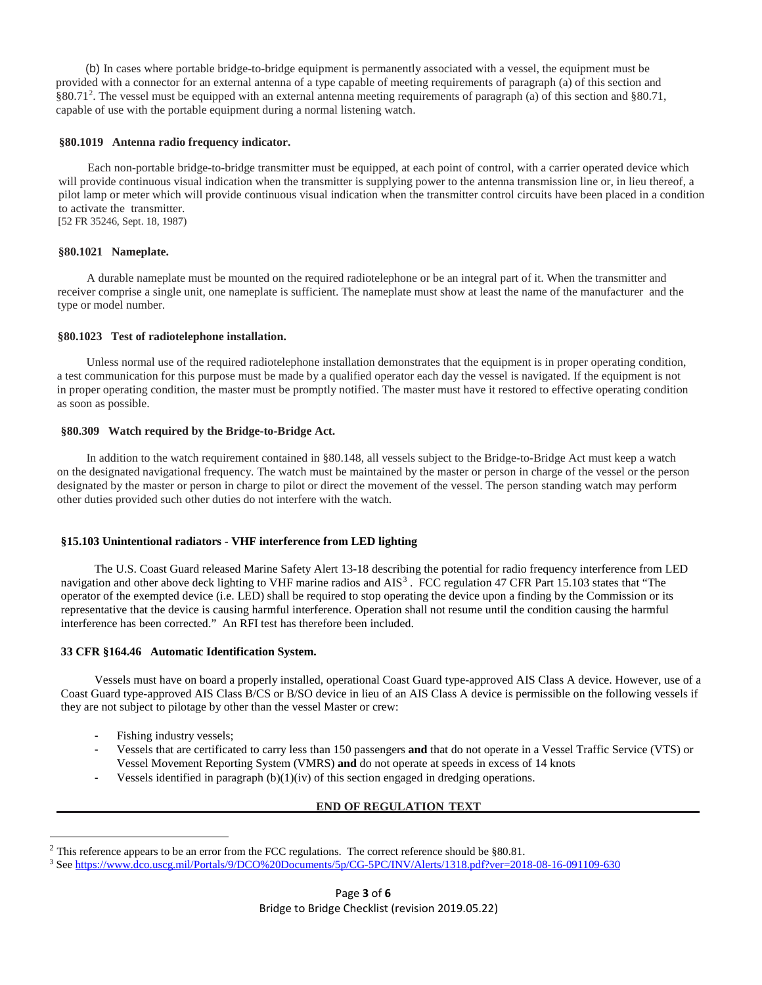(b) In cases where portable bridge-to-bridge equipment is permanently associated with a vessel, the equipment must be provided with a connector for an external antenna of a type capable of meeting requirements of paragraph (a) of this section and §80.71<sup>[2](#page-2-0)</sup>. The vessel must be equipped with an external antenna meeting requirements of paragraph (a) of this section and §80.71, capable of use with the portable equipment during a normal listening watch.

#### **§80.1019 Antenna radio frequency indicator.**

Each non-portable bridge-to-bridge transmitter must be equipped, at each point of control, with a carrier operated device which will provide continuous visual indication when the transmitter is supplying power to the antenna transmission line or, in lieu thereof, a pilot lamp or meter which will provide continuous visual indication when the transmitter control circuits have been placed in a condition to activate the transmitter. [52 FR 35246, Sept. 18, 1987)

#### **§80.1021 Nameplate.**

A durable nameplate must be mounted on the required radiotelephone or be an integral part of it. When the transmitter and receiver comprise a single unit, one nameplate is sufficient. The nameplate must show at least the name of the manufacturer and the type or model number.

#### **§80.1023 Test of radiotelephone installation.**

Unless normal use of the required radiotelephone installation demonstrates that the equipment is in proper operating condition, a test communication for this purpose must be made by a qualified operator each day the vessel is navigated. If the equipment is not in proper operating condition, the master must be promptly notified. The master must have it restored to effective operating condition as soon as possible.

### **§80.309 Watch required by the Bridge-to-Bridge Act.**

In addition to the watch requirement contained in §80.148, all vessels subject to the Bridge-to-Bridge Act must keep a watch on the designated navigational frequency. The watch must be maintained by the master or person in charge of the vessel or the person designated by the master or person in charge to pilot or direct the movement of the vessel. The person standing watch may perform other duties provided such other duties do not interfere with the watch.

#### **§15.103 Unintentional radiators - VHF interference from LED lighting**

The U.S. Coast Guard released Marine Safety Alert 13-18 describing the potential for radio frequency interference from LED navigation and other above deck lighting to VHF marine radios and AIS<sup>[3](#page-2-1)</sup>. FCC regulation 47 CFR Part 15.103 states that "The operator of the exempted device (i.e. LED) shall be required to stop operating the device upon a finding by the Commission or its representative that the device is causing harmful interference. Operation shall not resume until the condition causing the harmful interference has been corrected." An RFI test has therefore been included.

#### **33 CFR §164.46 Automatic Identification System.**

Vessels must have on board a properly installed, operational Coast Guard type-approved AIS Class A device. However, use of a Coast Guard type-approved AIS Class B/CS or B/SO device in lieu of an AIS Class A device is permissible on the following vessels if they are not subject to pilotage by other than the vessel Master or crew:

- Fishing industry vessels;
- Vessels that are certificated to carry less than 150 passengers **and** that do not operate in a Vessel Traffic Service (VTS) or Vessel Movement Reporting System (VMRS) **and** do not operate at speeds in excess of 14 knots
- Vessels identified in paragraph  $(b)(1)(iv)$  of this section engaged in dredging operations.

#### **END OF REGULATION TEXT**

<span id="page-2-1"></span><span id="page-2-0"></span><sup>&</sup>lt;sup>2</sup> This reference appears to be an error from the FCC regulations. The correct reference should be §80.81.<br><sup>3</sup> See https://www.dco.uscg.mil/Portals/9/DCO<u>%20Documents/5p/CG-5PC/INV/Alerts/1318.pdf?ver=2018-08-16-091109-6</u>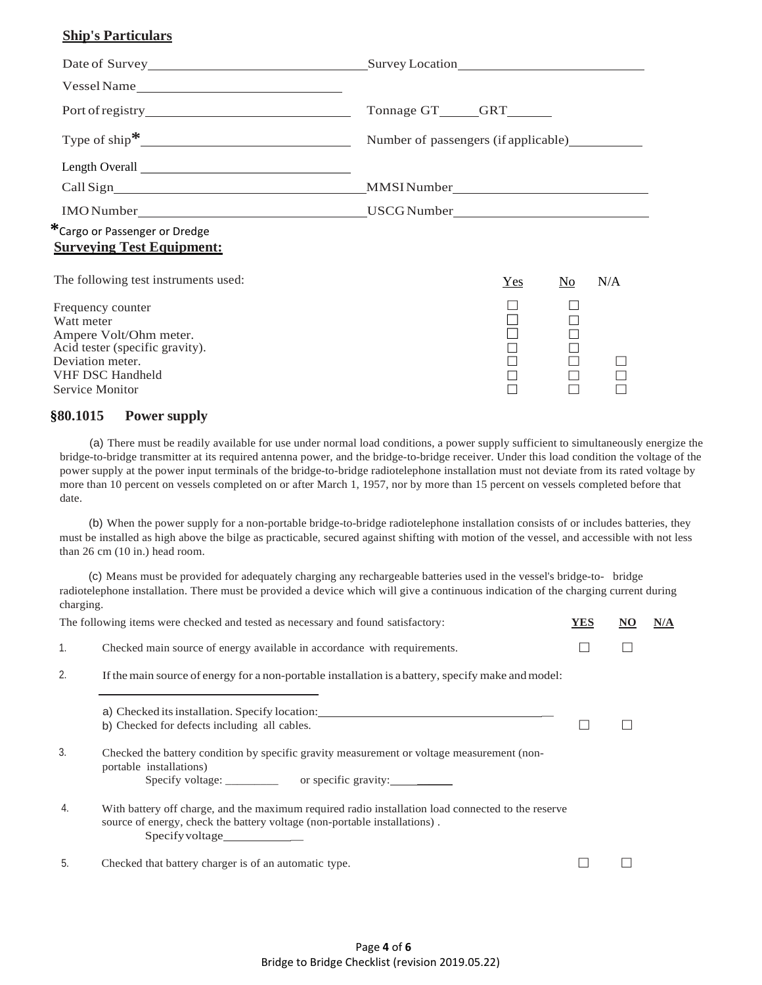# **Ship's Particulars**

|                                                                                                                                                                | Tonnage GT______GRT_______                                                       |                                      |  |  |
|----------------------------------------------------------------------------------------------------------------------------------------------------------------|----------------------------------------------------------------------------------|--------------------------------------|--|--|
|                                                                                                                                                                |                                                                                  | Number of passengers (if applicable) |  |  |
|                                                                                                                                                                |                                                                                  |                                      |  |  |
|                                                                                                                                                                |                                                                                  |                                      |  |  |
|                                                                                                                                                                | IMO Number__________________________________USCG Number_________________________ |                                      |  |  |
| *Cargo or Passenger or Dredge<br><b>Surveying Test Equipment:</b>                                                                                              |                                                                                  |                                      |  |  |
| The following test instruments used:                                                                                                                           | N/A<br>Yes<br>N <sub>0</sub>                                                     |                                      |  |  |
| Frequency counter<br>Watt meter<br>Ampere Volt/Ohm meter.<br>Acid tester (specific gravity).<br>Deviation meter.<br><b>VHF DSC Handheld</b><br>Service Monitor | П                                                                                |                                      |  |  |

## **§80.1015 Power supply**

(a) There must be readily available for use under normal load conditions, a power supply sufficient to simultaneously energize the bridge-to-bridge transmitter at its required antenna power, and the bridge-to-bridge receiver. Under this load condition the voltage of the power supply at the power input terminals of the bridge-to-bridge radiotelephone installation must not deviate from its rated voltage by more than 10 percent on vessels completed on or after March 1, 1957, nor by more than 15 percent on vessels completed before that date.

(b) When the power supply for a non-portable bridge-to-bridge radiotelephone installation consists of or includes batteries, they must be installed as high above the bilge as practicable, secured against shifting with motion of the vessel, and accessible with not less than 26 cm (10 in.) head room.

(c) Means must be provided for adequately charging any rechargeable batteries used in the vessel's bridge-to- bridge radiotelephone installation. There must be provided a device which will give a continuous indication of the charging current during charging.

|                | The following items were checked and tested as necessary and found satisfactory:                                                                                                  | YES | N/A |
|----------------|-----------------------------------------------------------------------------------------------------------------------------------------------------------------------------------|-----|-----|
| $\mathbf{1}$ . | Checked main source of energy available in accordance with requirements.                                                                                                          |     |     |
| 2.             | If the main source of energy for a non-portable installation is a battery, specify make and model:                                                                                |     |     |
|                | a) Checked its installation. Specify location: __________________________________<br>b) Checked for defects including all cables.                                                 |     |     |
| 3.             | Checked the battery condition by specific gravity measurement or voltage measurement (non-<br>portable installations)<br>Specify voltage: _________ or specific gravity: ________ |     |     |
| 4.             | With battery off charge, and the maximum required radio installation load connected to the reserve<br>source of energy, check the battery voltage (non-portable installations).   |     |     |
| 5.             | Checked that battery charger is of an automatic type.                                                                                                                             |     |     |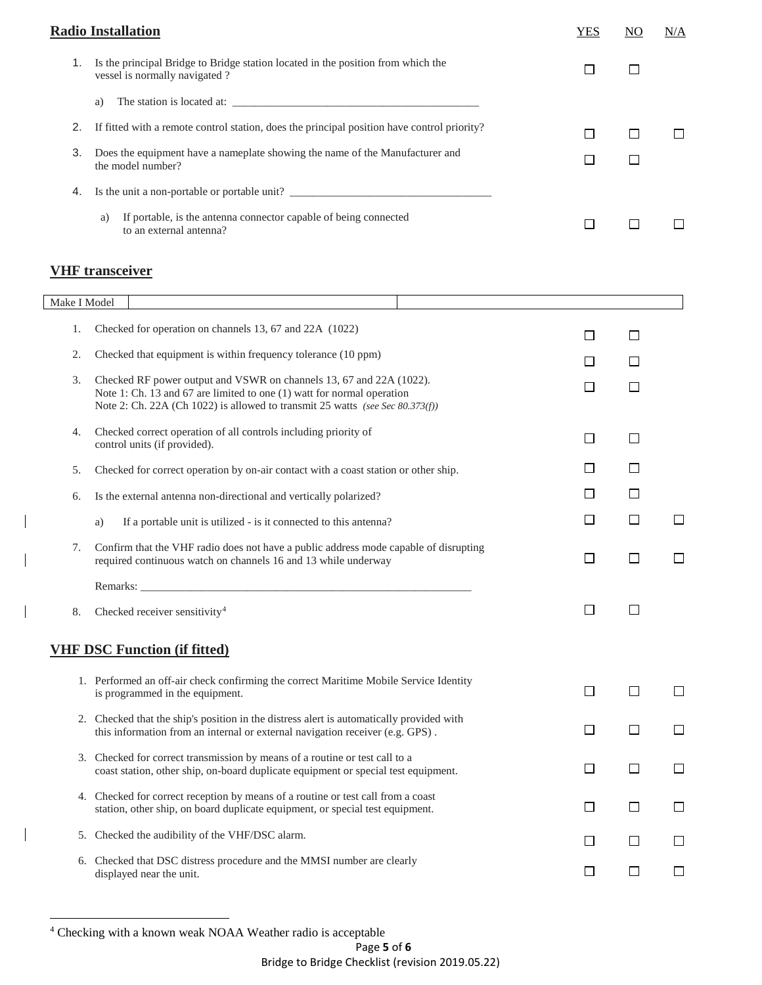|    | <b>Radio Installation</b>                                                                                         | YES | NΟ | N/A |
|----|-------------------------------------------------------------------------------------------------------------------|-----|----|-----|
|    | Is the principal Bridge to Bridge station located in the position from which the<br>vessel is normally navigated? |     |    |     |
|    | a)                                                                                                                |     |    |     |
|    | If fitted with a remote control station, does the principal position have control priority?                       |     |    |     |
| 3. | Does the equipment have a nameplate showing the name of the Manufacturer and<br>the model number?                 |     |    |     |
| 4. | Is the unit a non-portable or portable unit?                                                                      |     |    |     |
|    | If portable, is the antenna connector capable of being connected<br>a)<br>to an external antenna?                 |     |    |     |

# **VHF transceiver**

 $\overline{\phantom{a}}$ 

 $\overline{\phantom{a}}$ 

| Make I Model |                                                                                                                                                                                                                                |        |         |        |
|--------------|--------------------------------------------------------------------------------------------------------------------------------------------------------------------------------------------------------------------------------|--------|---------|--------|
|              |                                                                                                                                                                                                                                |        |         |        |
| 1.           | Checked for operation on channels 13, 67 and 22A (1022)                                                                                                                                                                        | $\Box$ | П       |        |
| 2.           | Checked that equipment is within frequency tolerance (10 ppm)                                                                                                                                                                  | П      | П       |        |
| 3.           | Checked RF power output and VSWR on channels 13, 67 and 22A (1022).<br>Note 1: Ch. 13 and 67 are limited to one (1) watt for normal operation<br>Note 2: Ch. 22A (Ch 1022) is allowed to transmit 25 watts (see Sec 80.373(f)) | П      | П       |        |
| 4.           | Checked correct operation of all controls including priority of<br>control units (if provided).                                                                                                                                | $\Box$ | $\Box$  |        |
| 5.           | Checked for correct operation by on-air contact with a coast station or other ship.                                                                                                                                            | ⊔      | $\perp$ |        |
| 6.           | Is the external antenna non-directional and vertically polarized?                                                                                                                                                              | $\Box$ | П       |        |
|              | If a portable unit is utilized - is it connected to this antenna?<br>a)                                                                                                                                                        | $\Box$ | $\Box$  | $\Box$ |
| 7.           | Confirm that the VHF radio does not have a public address mode capable of disrupting<br>required continuous watch on channels 16 and 13 while underway                                                                         | $\Box$ | $\Box$  | $\Box$ |
|              | Remarks: No. 1996. The contract of the contract of the contract of the contract of the contract of the contract of the contract of the contract of the contract of the contract of the contract of the contract of the contrac |        |         |        |
| 8.           | Checked receiver sensitivity <sup>4</sup>                                                                                                                                                                                      | $\Box$ | $\Box$  |        |
|              | <b>VHF DSC Function (if fitted)</b>                                                                                                                                                                                            |        |         |        |
|              | 1. Performed an off-air check confirming the correct Maritime Mobile Service Identity<br>is programmed in the equipment.                                                                                                       | $\Box$ | $\Box$  | $\Box$ |
|              | 2. Checked that the ship's position in the distress alert is automatically provided with<br>this information from an internal or external navigation receiver (e.g. GPS).                                                      | $\Box$ | $\Box$  | $\Box$ |
|              | 3. Checked for correct transmission by means of a routine or test call to a<br>coast station, other ship, on-board duplicate equipment or special test equipment.                                                              | $\Box$ | П       | $\Box$ |
|              | 4. Checked for correct reception by means of a routine or test call from a coast<br>station, other ship, on board duplicate equipment, or special test equipment.                                                              | $\Box$ | $\Box$  |        |
|              | 5. Checked the audibility of the VHF/DSC alarm.                                                                                                                                                                                | $\Box$ | П       |        |
|              | 6. Checked that DSC distress procedure and the MMSI number are clearly<br>displayed near the unit.                                                                                                                             | $\Box$ | П       | ப      |

<span id="page-4-0"></span> <sup>4</sup> Checking with a known weak NOAA Weather radio is acceptable